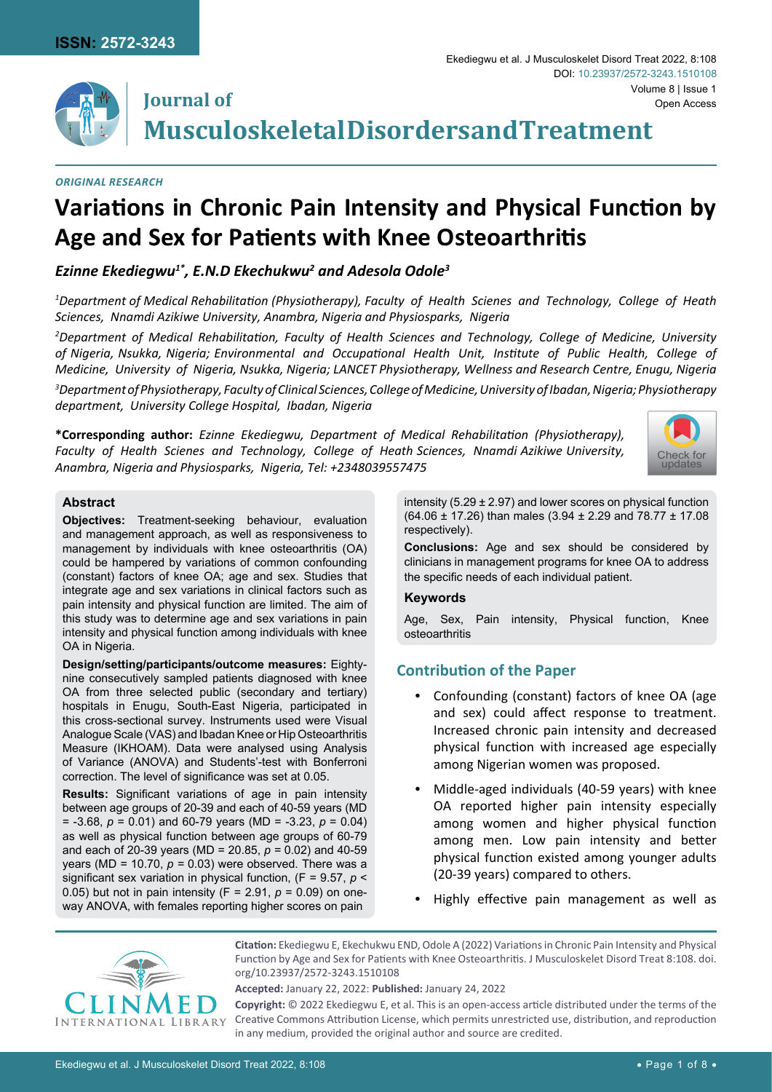

## **Journal of Musculoskeletal Disorders and Treatment**

#### *Original Research*

# **Variations in Chronic Pain Intensity and Physical Function by Age and Sex for Patients with Knee Osteoarthritis**

## *Ezinne Ekediegwu1\*, E.N.D Ekechukwu2 and Adesola Odole3*

*1 Department of Medical Rehabilitation (Physiotherapy), Faculty of Health Scienes and Technology, College of Heath Sciences, Nnamdi Azikiwe University, Anambra, Nigeria and Physiosparks, Nigeria*

*2 Department of Medical Rehabilitation, Faculty of Health Sciences and Technology, College of Medicine, University of Nigeria, Nsukka, Nigeria; Environmental and Occupational Health Unit, Institute of Public Health, College of Medicine, University of Nigeria, Nsukka, Nigeria; LANCET Physiotherapy, Wellness and Research Centre, Enugu, Nigeria* 

*3 Department of Physiotherapy, Faculty of Clinical Sciences, College of Medicine, University of Ibadan, Nigeria; Physiotherapy department, University College Hospital, Ibadan, Nigeria* 

**\*Corresponding author:** *Ezinne Ekediegwu, Department of Medical Rehabilitation (Physiotherapy), Faculty of Health Scienes and Technology, College of Heath Sciences, Nnamdi Azikiwe University, Anambra, Nigeria and Physiosparks, Nigeria, Tel: +2348039557475*



#### **Abstract**

**Objectives:** Treatment-seeking behaviour, evaluation and management approach, as well as responsiveness to management by individuals with knee osteoarthritis (OA) could be hampered by variations of common confounding (constant) factors of knee OA; age and sex. Studies that integrate age and sex variations in clinical factors such as pain intensity and physical function are limited. The aim of this study was to determine age and sex variations in pain intensity and physical function among individuals with knee OA in Nigeria.

**Design/setting/participants/outcome measures:** Eightynine consecutively sampled patients diagnosed with knee OA from three selected public (secondary and tertiary) hospitals in Enugu, South-East Nigeria, participated in this cross-sectional survey. Instruments used were Visual Analogue Scale (VAS) and Ibadan Knee or Hip Osteoarthritis Measure (IKHOAM). Data were analysed using Analysis of Variance (ANOVA) and Students'-test with Bonferroni correction. The level of significance was set at 0.05.

**Results:** Significant variations of age in pain intensity between age groups of 20-39 and each of 40-59 years (MD = -3.68, *p* = 0.01) and 60-79 years (MD = -3.23, *p* = 0.04) as well as physical function between age groups of 60-79 and each of 20-39 years (MD = 20.85, *p =* 0.02) and 40-59 years (MD = 10.70, *p =* 0.03) were observed. There was a significant sex variation in physical function, (F = 9.57, *p* < 0.05) but not in pain intensity (F = 2.91, *p* = 0.09) on oneway ANOVA, with females reporting higher scores on pain

intensity (5.29  $\pm$  2.97) and lower scores on physical function (64.06 ± 17.26) than males (3.94 ± 2.29 and 78.77 ± 17.08 respectively).

**Conclusions:** Age and sex should be considered by clinicians in management programs for knee OA to address the specific needs of each individual patient.

#### **Keywords**

Age, Sex, Pain intensity, Physical function, Knee osteoarthritis

## **Contribution of the Paper**

- **•**  Confounding (constant) factors of knee OA (age and sex) could affect response to treatment. Increased chronic pain intensity and decreased physical function with increased age especially among Nigerian women was proposed.
- **•**  Middle-aged individuals (40-59 years) with knee OA reported higher pain intensity especially among women and higher physical function among men. Low pain intensity and better physical function existed among younger adults (20-39 years) compared to others.
- Highly effective pain management as well as



**Citation:** Ekediegwu E, Ekechukwu END, Odole A (2022) Variations in Chronic Pain Intensity and Physical Function by Age and Sex for Patients with Knee Osteoarthritis. J Musculoskelet Disord Treat 8:108. [doi.](https://doi.org/10.23937/2572-3243.1510108) [org/10.23937/2572-3243.1510108](https://doi.org/10.23937/2572-3243.1510108)

**Accepted:** January 22, 2022: **Published:** January 24, 2022

**Copyright:** © 2022 Ekediegwu E, et al. This is an open-access article distributed under the terms of the Creative Commons Attribution License, which permits unrestricted use, distribution, and reproduction in any medium, provided the original author and source are credited.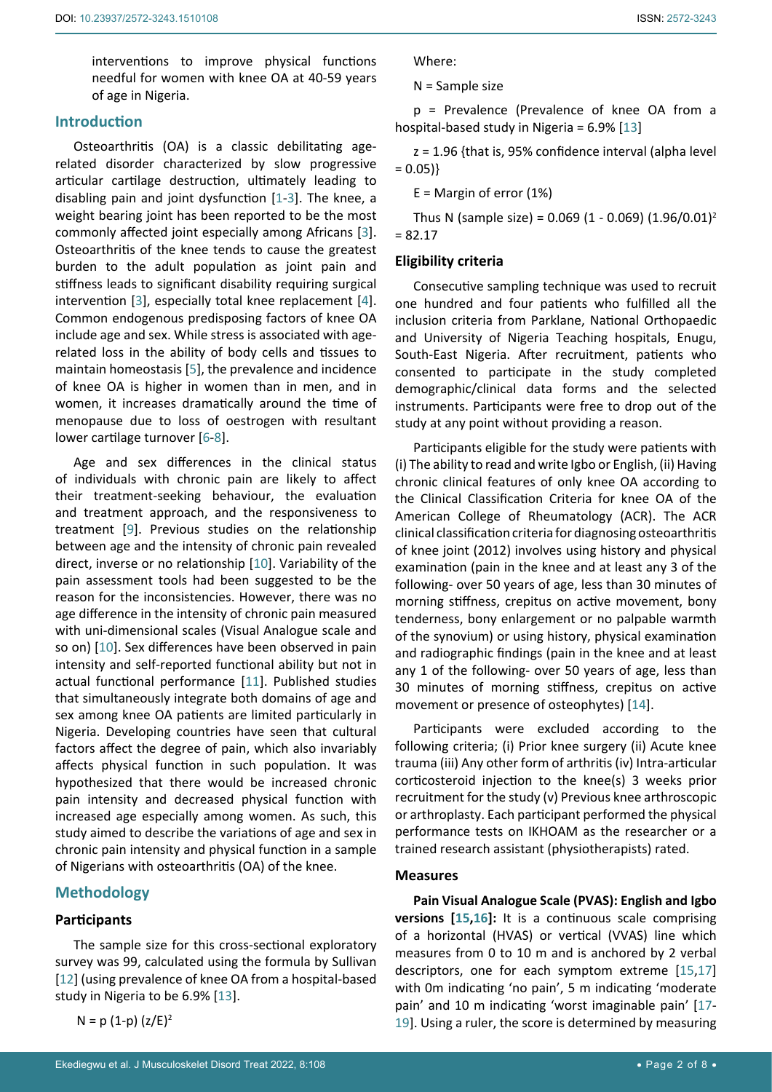interventions to improve physical functions needful for women with knee OA at 40-59 years of age in Nigeria.

## **Introduction**

Osteoarthritis (OA) is a classic debilitating agerelated disorder characterized by slow progressive articular cartilage destruction, ultimately leading to disabling pain and joint dysfunction [[1](#page-6-0)-[3](#page-6-1)]. The knee, a weight bearing joint has been reported to be the most commonly affected joint especially among Africans [[3](#page-6-1)]. Osteoarthritis of the knee tends to cause the greatest burden to the adult population as joint pain and stiffness leads to significant disability requiring surgical intervention [\[3\]](#page-6-1), especially total knee replacement [[4](#page-6-2)]. Common endogenous predisposing factors of knee OA include age and sex. While stress is associated with agerelated loss in the ability of body cells and tissues to maintain homeostasis [\[5\]](#page-6-3), the prevalence and incidence of knee OA is higher in women than in men, and in women, it increases dramatically around the time of menopause due to loss of oestrogen with resultant lower cartilage turnover [[6](#page-6-4)[-8\]](#page-6-5).

Age and sex differences in the clinical status of individuals with chronic pain are likely to affect their treatment-seeking behaviour, the evaluation and treatment approach, and the responsiveness to treatment [[9](#page-6-6)]. Previous studies on the relationship between age and the intensity of chronic pain revealed direct, inverse or no relationship [[10\]](#page-6-7). Variability of the pain assessment tools had been suggested to be the reason for the inconsistencies. However, there was no age difference in the intensity of chronic pain measured with uni-dimensional scales (Visual Analogue scale and so on) [\[10](#page-6-7)]. Sex differences have been observed in pain intensity and self-reported functional ability but not in actual functional performance [\[11](#page-6-8)]. Published studies that simultaneously integrate both domains of age and sex among knee OA patients are limited particularly in Nigeria. Developing countries have seen that cultural factors affect the degree of pain, which also invariably affects physical function in such population. It was hypothesized that there would be increased chronic pain intensity and decreased physical function with increased age especially among women. As such, this study aimed to describe the variations of age and sex in chronic pain intensity and physical function in a sample of Nigerians with osteoarthritis (OA) of the knee.

## **Methodology**

## **Participants**

The sample size for this cross-sectional exploratory survey was 99, calculated using the formula by Sullivan [[12](#page-6-9)] (using prevalence of knee OA from a hospital-based study in Nigeria to be 6.9% [\[13](#page-6-10)].

 $N = p(1-p)(z/E)^2$ 

Where:

N = Sample size

p = Prevalence (Prevalence of knee OA from a hospital-based study in Nigeria = 6.9% [[13](#page-6-10)]

z = 1.96 {that is, 95% confidence interval (alpha level  $= 0.05$ }

E = Margin of error (1%)

Thus N (sample size) =  $0.069$  (1 -  $0.069$ ) (1.96/0.01)<sup>2</sup> = 82.17

### **Eligibility criteria**

Consecutive sampling technique was used to recruit one hundred and four patients who fulfilled all the inclusion criteria from Parklane, National Orthopaedic and University of Nigeria Teaching hospitals, Enugu, South-East Nigeria. After recruitment, patients who consented to participate in the study completed demographic/clinical data forms and the selected instruments. Participants were free to drop out of the study at any point without providing a reason.

Participants eligible for the study were patients with (i) The ability to read and write Igbo or English, (ii) Having chronic clinical features of only knee OA according to the Clinical Classification Criteria for knee OA of the American College of Rheumatology (ACR). The ACR clinical classification criteria for diagnosing osteoarthritis of knee joint (2012) involves using history and physical examination (pain in the knee and at least any 3 of the following- over 50 years of age, less than 30 minutes of morning stiffness, crepitus on active movement, bony tenderness, bony enlargement or no palpable warmth of the synovium) or using history, physical examination and radiographic findings (pain in the knee and at least any 1 of the following- over 50 years of age, less than 30 minutes of morning stiffness, crepitus on active movement or presence of osteophytes) [\[14](#page-6-11)].

Participants were excluded according to the following criteria; (i) Prior knee surgery (ii) Acute knee trauma (iii) Any other form of arthritis (iv) Intra-articular corticosteroid injection to the knee(s) 3 weeks prior recruitment for the study (v) Previous knee arthroscopic or arthroplasty. Each participant performed the physical performance tests on IKHOAM as the researcher or a trained research assistant (physiotherapists) rated.

## **Measures**

**Pain Visual Analogue Scale (PVAS): English and Igbo versions [[15](#page-6-12)[,16](#page-6-13)]:** It is a continuous scale comprising of a horizontal (HVAS) or vertical (VVAS) line which measures from 0 to 10 m and is anchored by 2 verbal descriptors, one for each symptom extreme [\[15](#page-6-12),[17](#page-6-14)] with 0m indicating 'no pain', 5 m indicating 'moderate pain' and 10 m indicating 'worst imaginable pain' [\[17](#page-6-14)- [19\]](#page-6-15). Using a ruler, the score is determined by measuring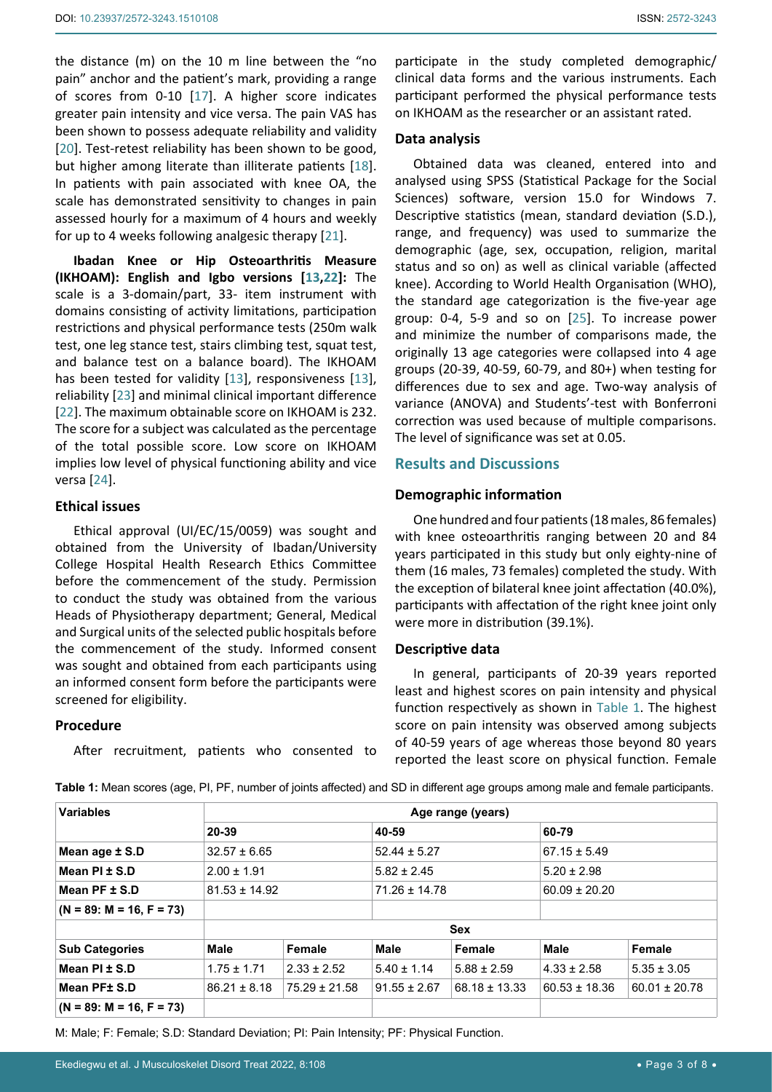the distance (m) on the 10 m line between the "no pain" anchor and the patient's mark, providing a range of scores from 0-10 [[17\]](#page-6-14). A higher score indicates greater pain intensity and vice versa. The pain VAS has been shown to possess adequate reliability and validity [[20](#page-6-17)]. Test-retest reliability has been shown to be good, but higher among literate than illiterate patients [\[18](#page-6-18)]. In patients with pain associated with knee OA, the scale has demonstrated sensitivity to changes in pain assessed hourly for a maximum of 4 hours and weekly for up to 4 weeks following analgesic therapy [[21\]](#page-6-19).

**Ibadan Knee or Hip Osteoarthritis Measure (IKHOAM): English and Igbo versions [[13,](#page-6-10)[22](#page-6-20)]:** The scale is a 3-domain/part, 33- item instrument with domains consisting of activity limitations, participation restrictions and physical performance tests (250m walk test, one leg stance test, stairs climbing test, squat test, and balance test on a balance board). The IKHOAM has been tested for validity [[13\]](#page-6-10), responsiveness [\[13](#page-6-10)], reliability [[23](#page-6-21)] and minimal clinical important difference [[22](#page-6-20)]. The maximum obtainable score on IKHOAM is 232. The score for a subject was calculated as the percentage of the total possible score. Low score on IKHOAM implies low level of physical functioning ability and vice versa [\[24](#page-6-22)].

#### **Ethical issues**

Ethical approval (UI/EC/15/0059) was sought and obtained from the University of Ibadan/University College Hospital Health Research Ethics Committee before the commencement of the study. Permission to conduct the study was obtained from the various Heads of Physiotherapy department; General, Medical and Surgical units of the selected public hospitals before the commencement of the study. Informed consent was sought and obtained from each participants using an informed consent form before the participants were screened for eligibility.

#### **Procedure**

After recruitment, patients who consented to

participate in the study completed demographic/ clinical data forms and the various instruments. Each participant performed the physical performance tests on IKHOAM as the researcher or an assistant rated.

#### **Data analysis**

Obtained data was cleaned, entered into and analysed using SPSS (Statistical Package for the Social Sciences) software, version 15.0 for Windows 7. Descriptive statistics (mean, standard deviation (S.D.), range, and frequency) was used to summarize the demographic (age, sex, occupation, religion, marital status and so on) as well as clinical variable (affected knee). According to World Health Organisation (WHO), the standard age categorization is the five-year age group: 0-4, 5-9 and so on [\[25\]](#page-6-16). To increase power and minimize the number of comparisons made, the originally 13 age categories were collapsed into 4 age groups (20-39, 40-59, 60-79, and 80+) when testing for differences due to sex and age. Two-way analysis of variance (ANOVA) and Students'-test with Bonferroni correction was used because of multiple comparisons. The level of significance was set at 0.05.

### **Results and Discussions**

#### **Demographic information**

One hundred and four patients (18 males, 86 females) with knee osteoarthritis ranging between 20 and 84 years participated in this study but only eighty-nine of them (16 males, 73 females) completed the study. With the exception of bilateral knee joint affectation (40.0%), participants with affectation of the right knee joint only were more in distribution (39.1%).

#### **Descriptive data**

In general, participants of 20-39 years reported least and highest scores on pain intensity and physical function respectively as shown in [Table 1.](#page-2-0) The highest score on pain intensity was observed among subjects of 40-59 years of age whereas those beyond 80 years reported the least score on physical function. Female

| <b>Variables</b>           | Age range (years) |                   |                   |                   |                   |                   |
|----------------------------|-------------------|-------------------|-------------------|-------------------|-------------------|-------------------|
|                            | 20-39             |                   | 40-59             |                   | 60-79             |                   |
| Mean age ± S.D             | $32.57 \pm 6.65$  |                   | $52.44 \pm 5.27$  |                   | $67.15 \pm 5.49$  |                   |
| Mean $PI \pm S.D$          | $2.00 \pm 1.91$   |                   | $5.82 \pm 2.45$   |                   | $5.20 \pm 2.98$   |                   |
| Mean $PF \pm S.D$          | $81.53 \pm 14.92$ |                   | $71.26 \pm 14.78$ |                   | $60.09 \pm 20.20$ |                   |
| $(N = 89: M = 16, F = 73)$ |                   |                   |                   |                   |                   |                   |
|                            | <b>Sex</b>        |                   |                   |                   |                   |                   |
| <b>Sub Categories</b>      | Male              | Female            | Male              | Female            | Male              | Female            |
| Mean $PI \pm S.D$          | $1.75 \pm 1.71$   | $2.33 \pm 2.52$   | $5.40 \pm 1.14$   | $5.88 \pm 2.59$   | $4.33 \pm 2.58$   | $5.35 \pm 3.05$   |
| Mean PF± S.D               | $86.21 \pm 8.18$  | $75.29 \pm 21.58$ | $91.55 \pm 2.67$  | $68.18 \pm 13.33$ | $60.53 \pm 18.36$ | $60.01 \pm 20.78$ |
| $(N = 89: M = 16, F = 73)$ |                   |                   |                   |                   |                   |                   |

<span id="page-2-0"></span>**Table 1:** Mean scores (age, PI, PF, number of joints affected) and SD in different age groups among male and female participants.

M: Male; F: Female; S.D: Standard Deviation; PI: Pain Intensity; PF: Physical Function.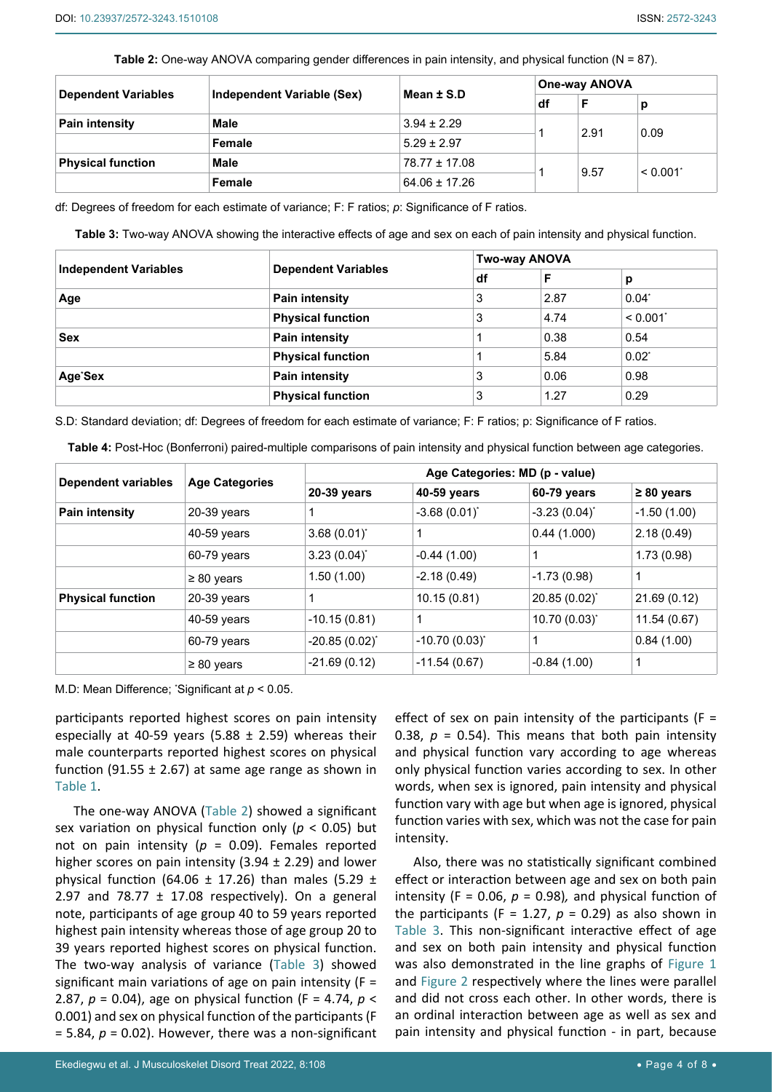<span id="page-3-1"></span>**Table 2:** One-way ANOVA comparing gender differences in pain intensity, and physical function (N = 87).

| <b>Dependent Variables</b> | Independent Variable (Sex) | Mean $±$ S.D      | <b>One-way ANOVA</b> |      |                        |
|----------------------------|----------------------------|-------------------|----------------------|------|------------------------|
|                            |                            |                   | df                   | F    | р                      |
| <b>Pain intensity</b>      | Male                       | $3.94 \pm 2.29$   |                      | 2.91 | 0.09                   |
|                            | Female                     | $5.29 \pm 2.97$   |                      |      |                        |
| <b>Physical function</b>   | Male                       | $78.77 \pm 17.08$ |                      | 9.57 | $< 0.001$ <sup>*</sup> |
|                            | Female                     | $64.06 \pm 17.26$ |                      |      |                        |

df: Degrees of freedom for each estimate of variance; F: F ratios; *p*: Significance of F ratios.

<span id="page-3-0"></span>**Table 3:** Two-way ANOVA showing the interactive effects of age and sex on each of pain intensity and physical function.

|                              |                            |   | <b>Two-way ANOVA</b> |                        |  |  |
|------------------------------|----------------------------|---|----------------------|------------------------|--|--|
| <b>Independent Variables</b> | <b>Dependent Variables</b> |   | F                    | р                      |  |  |
| Age                          | <b>Pain intensity</b>      | 3 | 2.87                 | $0.04^*$               |  |  |
|                              | <b>Physical function</b>   | 3 | 4.74                 | $< 0.001$ <sup>*</sup> |  |  |
| <b>Sex</b>                   | Pain intensity             |   | 0.38                 | 0.54                   |  |  |
|                              | <b>Physical function</b>   |   | 5.84                 | $0.02^*$               |  |  |
| Age <sup>*</sup> Sex         | <b>Pain intensity</b>      | 3 | 0.06                 | 0.98                   |  |  |
|                              | <b>Physical function</b>   | 3 | 1.27                 | 0.29                   |  |  |

S.D: Standard deviation; df: Degrees of freedom for each estimate of variance; F: F ratios; p: Significance of F ratios.

|                            |                       |                                | <b>Table 4:</b> Post-Hoc (Bonierform) paired-multiple comparisons of pain intensity and privsical function between age categories. |                   |                 |  |
|----------------------------|-----------------------|--------------------------------|------------------------------------------------------------------------------------------------------------------------------------|-------------------|-----------------|--|
| <b>Dependent variables</b> | <b>Age Categories</b> | Age Categories: MD (p - value) |                                                                                                                                    |                   |                 |  |
|                            |                       | 20-39 years                    | 40-59 years                                                                                                                        | 60-79 years       | $\geq 80$ years |  |
| <b>Pain intensity</b>      | 20-39 years           |                                | $-3.68(0.01)^{*}$                                                                                                                  | $-3.23(0.04)^{*}$ | $-1.50(1.00)$   |  |
|                            | $40-59$ years         | $3.68(0.01)^{*}$               |                                                                                                                                    | 0.44(1.000)       | 2.18(0.49)      |  |
|                            | 60-79 years           | $3.23(0.04)^{*}$               | $-0.44(1.00)$                                                                                                                      |                   | 1.73(0.98)      |  |
|                            | $\geq 80$ years       | 1.50(1.00)                     | $-2.18(0.49)$                                                                                                                      | $-1.73(0.98)$     | 1               |  |
| <b>Physical function</b>   | $20-39$ years         |                                | 10.15(0.81)                                                                                                                        | 20.85 (0.02)*     | 21.69(0.12)     |  |
|                            | $40-59$ years         | $-10.15(0.81)$                 |                                                                                                                                    | $10.70(0.03)^{*}$ | 11.54(0.67)     |  |
|                            | 60-79 years           | $-20.85(0.02)^{*}$             | $-10.70(0.03)^{*}$                                                                                                                 |                   | 0.84(1.00)      |  |

≥ 80 years  $-21.69(0.12)$   $-11.54(0.67)$   $-0.84(1.00)$  1

<span id="page-3-2"></span>**Table 4:** Post-Hoc (Bonferroni) paired-multiple comparisons of pain intensity and physical function between age categories.

M.D: Mean Difference; \* Significant at *p* < 0.05.

participants reported highest scores on pain intensity especially at 40-59 years (5.88  $\pm$  2.59) whereas their male counterparts reported highest scores on physical function (91.55  $\pm$  2.67) at same age range as shown in [Table 1.](#page-2-0)

The one-way ANOVA [\(Table 2\)](#page-3-1) showed a significant sex variation on physical function only (*p* < 0.05) but not on pain intensity (*p* = 0.09). Females reported higher scores on pain intensity (3.94  $\pm$  2.29) and lower physical function (64.06  $\pm$  17.26) than males (5.29  $\pm$ 2.97 and  $78.77 \pm 17.08$  respectively). On a general note, participants of age group 40 to 59 years reported highest pain intensity whereas those of age group 20 to 39 years reported highest scores on physical function. The two-way analysis of variance [\(Table 3\)](#page-3-0) showed significant main variations of age on pain intensity ( $F =$ 2.87, *p* = 0.04), age on physical function (F = 4.74, *p* < 0.001) and sex on physical function of the participants (F  $= 5.84, p = 0.02$ ). However, there was a non-significant

effect of sex on pain intensity of the participants ( $F =$ 0.38,  $p = 0.54$ ). This means that both pain intensity and physical function vary according to age whereas only physical function varies according to sex. In other words, when sex is ignored, pain intensity and physical function vary with age but when age is ignored, physical function varies with sex, which was not the case for pain intensity.

Also, there was no statistically significant combined effect or interaction between age and sex on both pain intensity (F = 0.06,  $p = 0.98$ ), and physical function of the participants (F = 1.27,  $p = 0.29$ ) as also shown in [Table 3](#page-3-0). This non-significant interactive effect of age and sex on both pain intensity and physical function was also demonstrated in the line graphs of [Figure 1](#page-4-0) and [Figure 2](#page-4-1) respectively where the lines were parallel and did not cross each other. In other words, there is an ordinal interaction between age as well as sex and pain intensity and physical function - in part, because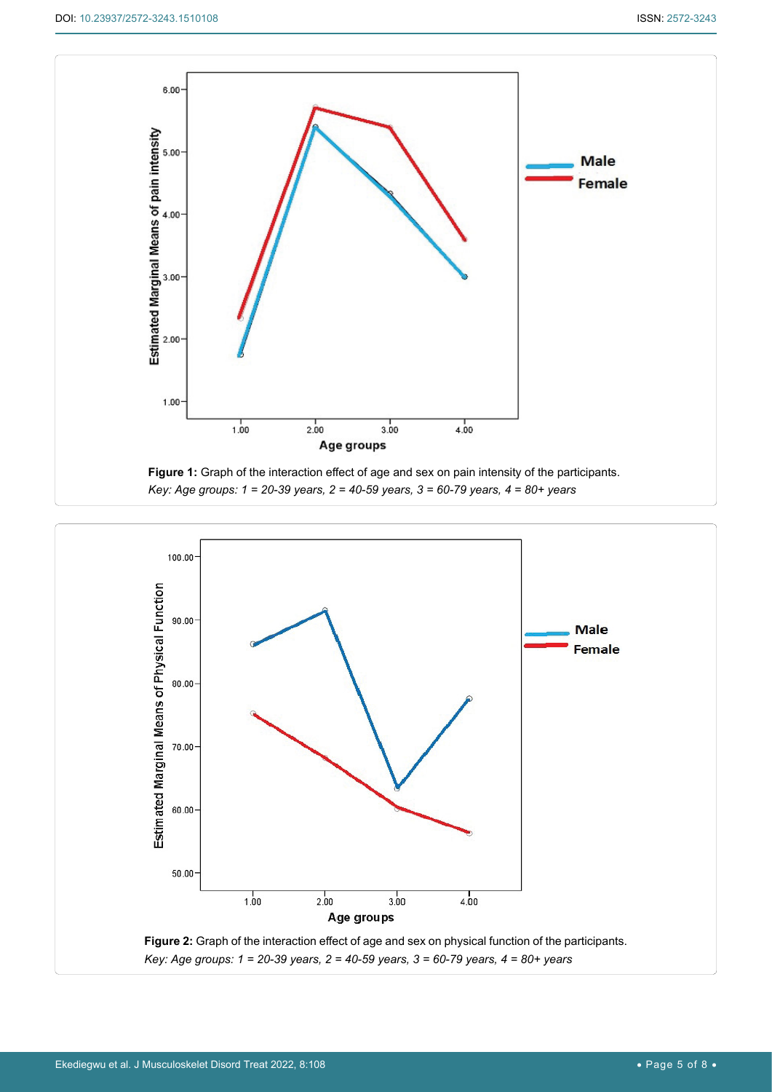<span id="page-4-0"></span>

<span id="page-4-1"></span>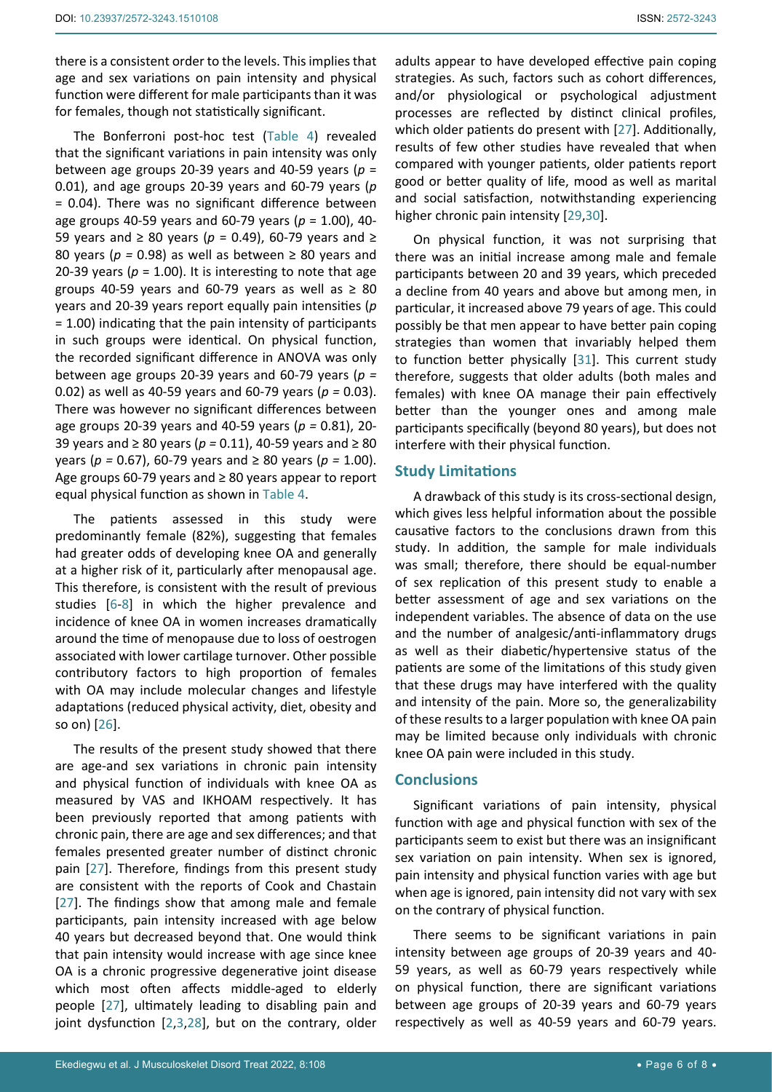there is a consistent order to the levels. This implies that age and sex variations on pain intensity and physical function were different for male participants than it was for females, though not statistically significant.

The Bonferroni post-hoc test ([Table 4](#page-3-2)) revealed that the significant variations in pain intensity was only between age groups 20-39 years and 40-59 years (*p* = 0.01), and age groups 20-39 years and 60-79 years (*p* = 0.04). There was no significant difference between age groups 40-59 years and 60-79 years (*p* = 1.00), 40- 59 years and ≥ 80 years (*p* = 0.49), 60-79 years and ≥ 80 years (*p =* 0.98) as well as between ≥ 80 years and 20-39 years ( $p = 1.00$ ). It is interesting to note that age groups 40-59 years and 60-79 years as well as  $\geq 80$ years and 20-39 years report equally pain intensities (*p* = 1.00) indicating that the pain intensity of participants in such groups were identical. On physical function, the recorded significant difference in ANOVA was only between age groups 20-39 years and 60-79 years (*p =*  0.02) as well as 40-59 years and 60-79 years (*p =* 0.03). There was however no significant differences between age groups 20-39 years and 40-59 years (*p =* 0.81), 20- 39 years and ≥ 80 years (*p =* 0.11), 40-59 years and ≥ 80 years (*p =* 0.67), 60-79 years and ≥ 80 years (*p =* 1.00). Age groups 60-79 years and ≥ 80 years appear to report equal physical function as shown in [Table 4](#page-3-2).

The patients assessed in this study were predominantly female (82%), suggesting that females had greater odds of developing knee OA and generally at a higher risk of it, particularly after menopausal age. This therefore, is consistent with the result of previous studies [[6](#page-6-4)-[8](#page-6-5)] in which the higher prevalence and incidence of knee OA in women increases dramatically around the time of menopause due to loss of oestrogen associated with lower cartilage turnover. Other possible contributory factors to high proportion of females with OA may include molecular changes and lifestyle adaptations (reduced physical activity, diet, obesity and so on) [[26](#page-7-4)].

The results of the present study showed that there are age-and sex variations in chronic pain intensity and physical function of individuals with knee OA as measured by VAS and IKHOAM respectively. It has been previously reported that among patients with chronic pain, there are age and sex differences; and that females presented greater number of distinct chronic pain [\[27\]](#page-7-0). Therefore, findings from this present study are consistent with the reports of Cook and Chastain [[27](#page-7-0)]. The findings show that among male and female participants, pain intensity increased with age below 40 years but decreased beyond that. One would think that pain intensity would increase with age since knee OA is a chronic progressive degenerative joint disease which most often affects middle-aged to elderly people [[27\]](#page-7-0), ultimately leading to disabling pain and joint dysfunction [[2](#page-6-23),[3](#page-6-1),[28\]](#page-7-5), but on the contrary, older

adults appear to have developed effective pain coping strategies. As such, factors such as cohort differences, and/or physiological or psychological adjustment processes are reflected by distinct clinical profiles, which older patients do present with [[27\]](#page-7-0). Additionally, results of few other studies have revealed that when compared with younger patients, older patients report good or better quality of life, mood as well as marital and social satisfaction, notwithstanding experiencing higher chronic pain intensity [[29](#page-7-1),[30\]](#page-7-2).

On physical function, it was not surprising that there was an initial increase among male and female participants between 20 and 39 years, which preceded a decline from 40 years and above but among men, in particular, it increased above 79 years of age. This could possibly be that men appear to have better pain coping strategies than women that invariably helped them to function better physically [\[31](#page-7-3)]. This current study therefore, suggests that older adults (both males and females) with knee OA manage their pain effectively better than the younger ones and among male participants specifically (beyond 80 years), but does not interfere with their physical function.

## **Study Limitations**

A drawback of this study is its cross-sectional design, which gives less helpful information about the possible causative factors to the conclusions drawn from this study. In addition, the sample for male individuals was small; therefore, there should be equal-number of sex replication of this present study to enable a better assessment of age and sex variations on the independent variables. The absence of data on the use and the number of analgesic/anti-inflammatory drugs as well as their diabetic/hypertensive status of the patients are some of the limitations of this study given that these drugs may have interfered with the quality and intensity of the pain. More so, the generalizability of these results to a larger population with knee OA pain may be limited because only individuals with chronic knee OA pain were included in this study.

## **Conclusions**

Significant variations of pain intensity, physical function with age and physical function with sex of the participants seem to exist but there was an insignificant sex variation on pain intensity. When sex is ignored, pain intensity and physical function varies with age but when age is ignored, pain intensity did not vary with sex on the contrary of physical function.

There seems to be significant variations in pain intensity between age groups of 20-39 years and 40- 59 years, as well as 60-79 years respectively while on physical function, there are significant variations between age groups of 20-39 years and 60-79 years respectively as well as 40-59 years and 60-79 years.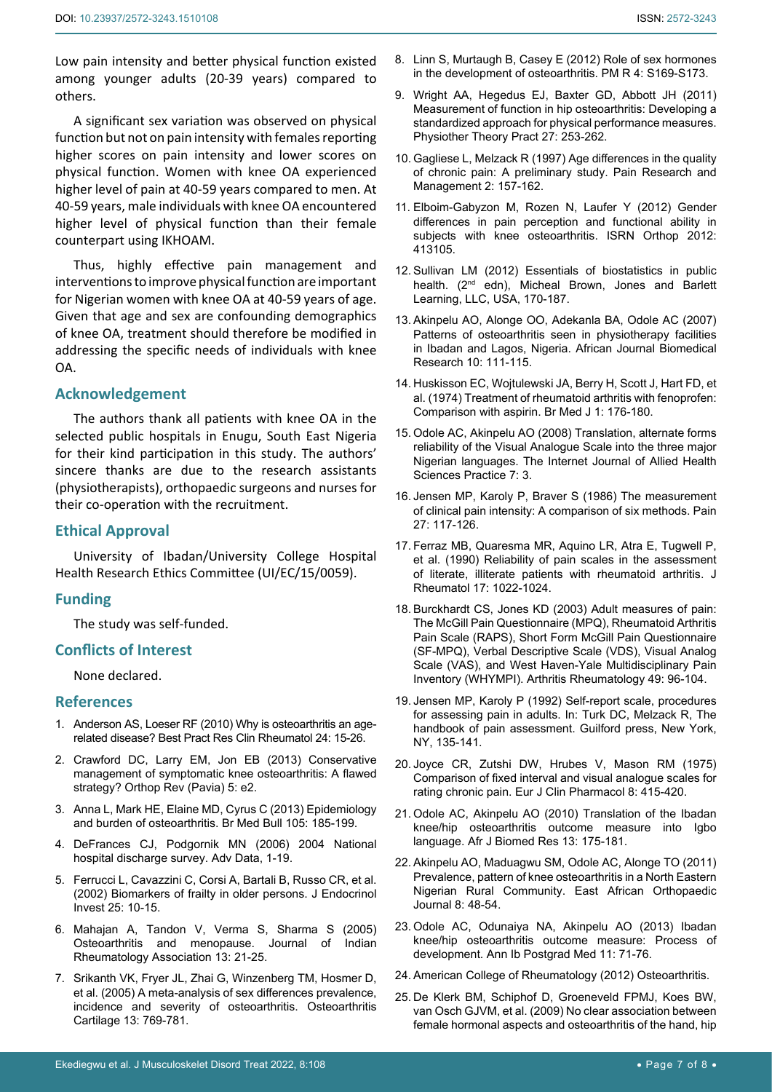Low pain intensity and better physical function existed among younger adults (20-39 years) compared to others.

A significant sex variation was observed on physical function but not on pain intensity with females reporting higher scores on pain intensity and lower scores on physical function. Women with knee OA experienced higher level of pain at 40-59 years compared to men. At 40-59 years, male individuals with knee OA encountered higher level of physical function than their female counterpart using IKHOAM.

Thus, highly effective pain management and interventions to improve physical function are important for Nigerian women with knee OA at 40-59 years of age. Given that age and sex are confounding demographics of knee OA, treatment should therefore be modified in addressing the specific needs of individuals with knee OA.

#### **Acknowledgement**

The authors thank all patients with knee OA in the selected public hospitals in Enugu, South East Nigeria for their kind participation in this study. The authors' sincere thanks are due to the research assistants (physiotherapists), orthopaedic surgeons and nurses for their co-operation with the recruitment.

#### **Ethical Approval**

University of Ibadan/University College Hospital Health Research Ethics Committee (UI/EC/15/0059).

#### **Funding**

The study was self-funded.

#### **Conflicts of Interest**

None declared.

#### **References**

- <span id="page-6-0"></span>1. [Anderson AS, Loeser RF \(2010\) Why is osteoarthritis an age](https://pubmed.ncbi.nlm.nih.gov/20129196/)[related disease? Best Pract Res Clin Rheumatol 24: 15-26.](https://pubmed.ncbi.nlm.nih.gov/20129196/)
- <span id="page-6-23"></span>2. [Crawford DC, Larry EM, Jon EB \(2013\) Conservative](https://pubmed.ncbi.nlm.nih.gov/23705060/)  [management of symptomatic knee osteoarthritis: A flawed](https://pubmed.ncbi.nlm.nih.gov/23705060/)  [strategy? Orthop Rev \(Pavia\) 5: e2.](https://pubmed.ncbi.nlm.nih.gov/23705060/)
- <span id="page-6-1"></span>3. [Anna L, Mark HE, Elaine MD, Cyrus C \(2013\) Epidemiology](https://pubmed.ncbi.nlm.nih.gov/23337796/)  [and burden of osteoarthritis. Br Med Bull 105: 185-199.](https://pubmed.ncbi.nlm.nih.gov/23337796/)
- <span id="page-6-2"></span>4. [DeFrances CJ, Podgornik MN \(2006\) 2004 National](https://pubmed.ncbi.nlm.nih.gov/16703980/)  [hospital discharge survey. Adv Data, 1-19.](https://pubmed.ncbi.nlm.nih.gov/16703980/)
- <span id="page-6-3"></span>5. [Ferrucci L, Cavazzini C, Corsi A, Bartali B, Russo CR, et al.](https://pubmed.ncbi.nlm.nih.gov/12508906/)  [\(2002\) Biomarkers of frailty in older persons. J Endocrinol](https://pubmed.ncbi.nlm.nih.gov/12508906/)  [Invest 25: 10-15.](https://pubmed.ncbi.nlm.nih.gov/12508906/)
- <span id="page-6-4"></span>6. Mahajan A, Tandon V, Verma S, Sharma S (2005) Osteoarthritis and menopause. Journal of Indian Rheumatology Association 13: 21-25.
- 7. [Srikanth VK, Fryer JL, Zhai G, Winzenberg TM, Hosmer D,](https://pubmed.ncbi.nlm.nih.gov/15978850/)  [et al. \(2005\) A meta-analysis of sex differences prevalence,](https://pubmed.ncbi.nlm.nih.gov/15978850/)  [incidence and severity of osteoarthritis. Osteoarthritis](https://pubmed.ncbi.nlm.nih.gov/15978850/)  [Cartilage 13: 769-781.](https://pubmed.ncbi.nlm.nih.gov/15978850/)
- <span id="page-6-5"></span>8. [Linn S, Murtaugh B, Casey E \(2012\) Role of sex hormones](https://pubmed.ncbi.nlm.nih.gov/22632696/)  [in the development of osteoarthritis. PM R 4: S169-S173.](https://pubmed.ncbi.nlm.nih.gov/22632696/)
- <span id="page-6-6"></span>9. [Wright AA, Hegedus EJ, Baxter GD, Abbott JH \(2011\)](https://pubmed.ncbi.nlm.nih.gov/20649479/)  [Measurement of function in hip osteoarthritis: Developing a](https://pubmed.ncbi.nlm.nih.gov/20649479/)  [standardized approach for physical performance measures.](https://pubmed.ncbi.nlm.nih.gov/20649479/)  [Physiother Theory Pract 27: 253-262.](https://pubmed.ncbi.nlm.nih.gov/20649479/)
- <span id="page-6-7"></span>10. [Gagliese L, Melzack R \(1997\) Age differences in the quality](https://www.hindawi.com/journals/prm/1997/709054/)  [of chronic pain: A preliminary study. Pain Research and](https://www.hindawi.com/journals/prm/1997/709054/)  [Management 2: 157-162.](https://www.hindawi.com/journals/prm/1997/709054/)
- <span id="page-6-8"></span>11. [Elboim-Gabyzon M, Rozen N, Laufer Y \(2012\) Gender](https://pubmed.ncbi.nlm.nih.gov/24977076/)  [differences in pain perception and functional ability in](https://pubmed.ncbi.nlm.nih.gov/24977076/)  [subjects with knee osteoarthritis. ISRN Orthop 2012:](https://pubmed.ncbi.nlm.nih.gov/24977076/)  [413105.](https://pubmed.ncbi.nlm.nih.gov/24977076/)
- <span id="page-6-9"></span>12. Sullivan LM (2012) Essentials of biostatistics in public health. (2<sup>nd</sup> edn), Micheal Brown, Jones and Barlett Learning, LLC, USA, 170-187.
- <span id="page-6-10"></span>13. [Akinpelu AO, Alonge OO, Adekanla BA, Odole AC \(2007\)](https://www.ajol.info/index.php/ajbr/article/view/50612)  [Patterns of osteoarthritis seen in physiotherapy facilities](https://www.ajol.info/index.php/ajbr/article/view/50612)  [in Ibadan and Lagos, Nigeria. African Journal Biomedical](https://www.ajol.info/index.php/ajbr/article/view/50612)  [Research 10: 111-115.](https://www.ajol.info/index.php/ajbr/article/view/50612)
- <span id="page-6-11"></span>14. [Huskisson EC, Wojtulewski JA, Berry H, Scott J, Hart FD, et](https://pubmed.ncbi.nlm.nih.gov/4590669/)  [al. \(1974\) Treatment of rheumatoid arthritis with fenoprofen:](https://pubmed.ncbi.nlm.nih.gov/4590669/)  [Comparison with aspirin. Br Med J 1: 176-180.](https://pubmed.ncbi.nlm.nih.gov/4590669/)
- <span id="page-6-12"></span>15. Odole AC, Akinpelu AO (2008) Translation, alternate forms reliability of the Visual Analogue Scale into the three major Nigerian languages. The Internet Journal of Allied Health Sciences Practice 7: 3.
- <span id="page-6-13"></span>16. [Jensen MP, Karoly P, Braver S \(1986\) The measurement](https://pubmed.ncbi.nlm.nih.gov/3785962/)  [of clinical pain intensity: A comparison of six methods. Pain](https://pubmed.ncbi.nlm.nih.gov/3785962/)  [27: 117-126.](https://pubmed.ncbi.nlm.nih.gov/3785962/)
- <span id="page-6-14"></span>17. [Ferraz MB, Quaresma MR, Aquino LR, Atra E, Tugwell P,](https://pubmed.ncbi.nlm.nih.gov/2213777/)  [et al. \(1990\) Reliability of pain scales in the assessment](https://pubmed.ncbi.nlm.nih.gov/2213777/)  [of literate, illiterate patients with rheumatoid arthritis. J](https://pubmed.ncbi.nlm.nih.gov/2213777/)  [Rheumatol 17: 1022-1024.](https://pubmed.ncbi.nlm.nih.gov/2213777/)
- <span id="page-6-18"></span>18. Burckhardt CS, Jones KD (2003) Adult measures of pain: The McGill Pain Questionnaire (MPQ), Rheumatoid Arthritis Pain Scale (RAPS), Short Form McGill Pain Questionnaire (SF-MPQ), Verbal Descriptive Scale (VDS), Visual Analog Scale (VAS), and West Haven-Yale Multidisciplinary Pain Inventory (WHYMPI). Arthritis Rheumatology 49: 96-104.
- <span id="page-6-15"></span>19. Jensen MP, Karoly P (1992) Self-report scale, procedures for assessing pain in adults. In: Turk DC, Melzack R, The handbook of pain assessment. Guilford press, New York, NY, 135-141.
- <span id="page-6-17"></span>20. [Joyce CR, Zutshi DW, Hrubes V, Mason RM \(1975\)](https://pubmed.ncbi.nlm.nih.gov/1233242/)  [Comparison of fixed interval and visual analogue scales for](https://pubmed.ncbi.nlm.nih.gov/1233242/)  [rating chronic pain. Eur J Clin Pharmacol 8: 415-420.](https://pubmed.ncbi.nlm.nih.gov/1233242/)
- <span id="page-6-19"></span>21. [Odole AC, Akinpelu AO \(2010\) Translation of the Ibadan](https://www.ajol.info/index.php/ajbr/article/view/95214)  [knee/hip osteoarthritis outcome measure into Igbo](https://www.ajol.info/index.php/ajbr/article/view/95214)  [language. Afr J Biomed Res 13: 175-181.](https://www.ajol.info/index.php/ajbr/article/view/95214)
- <span id="page-6-20"></span>22. Akinpelu AO, Maduagwu SM, Odole AC, Alonge TO (2011) Prevalence, pattern of knee osteoarthritis in a North Eastern Nigerian Rural Community. East African Orthopaedic Journal 8: 48-54.
- <span id="page-6-21"></span>23. [Odole AC, Odunaiya NA, Akinpelu AO \(2013\) Ibadan](https://pubmed.ncbi.nlm.nih.gov/25161423/)  [knee/hip osteoarthritis outcome measure: Process of](https://pubmed.ncbi.nlm.nih.gov/25161423/)  [development. Ann Ib Postgrad Med 11: 71-76.](https://pubmed.ncbi.nlm.nih.gov/25161423/)
- <span id="page-6-22"></span>24. [American College of Rheumatology \(2012\) Osteoarthritis.](https://www.rheumatology.org/I-Am-A/Patient-Caregiver/Diseases-Conditions/Osteoarthritis)
- <span id="page-6-16"></span>25. [De Klerk BM, Schiphof D, Groeneveld FPMJ, Koes BW,](https://pubmed.ncbi.nlm.nih.gov/19608726/)  [van Osch GJVM, et al. \(2009\) No clear association between](https://pubmed.ncbi.nlm.nih.gov/19608726/)  [female hormonal aspects and osteoarthritis of the hand, hip](https://pubmed.ncbi.nlm.nih.gov/19608726/)